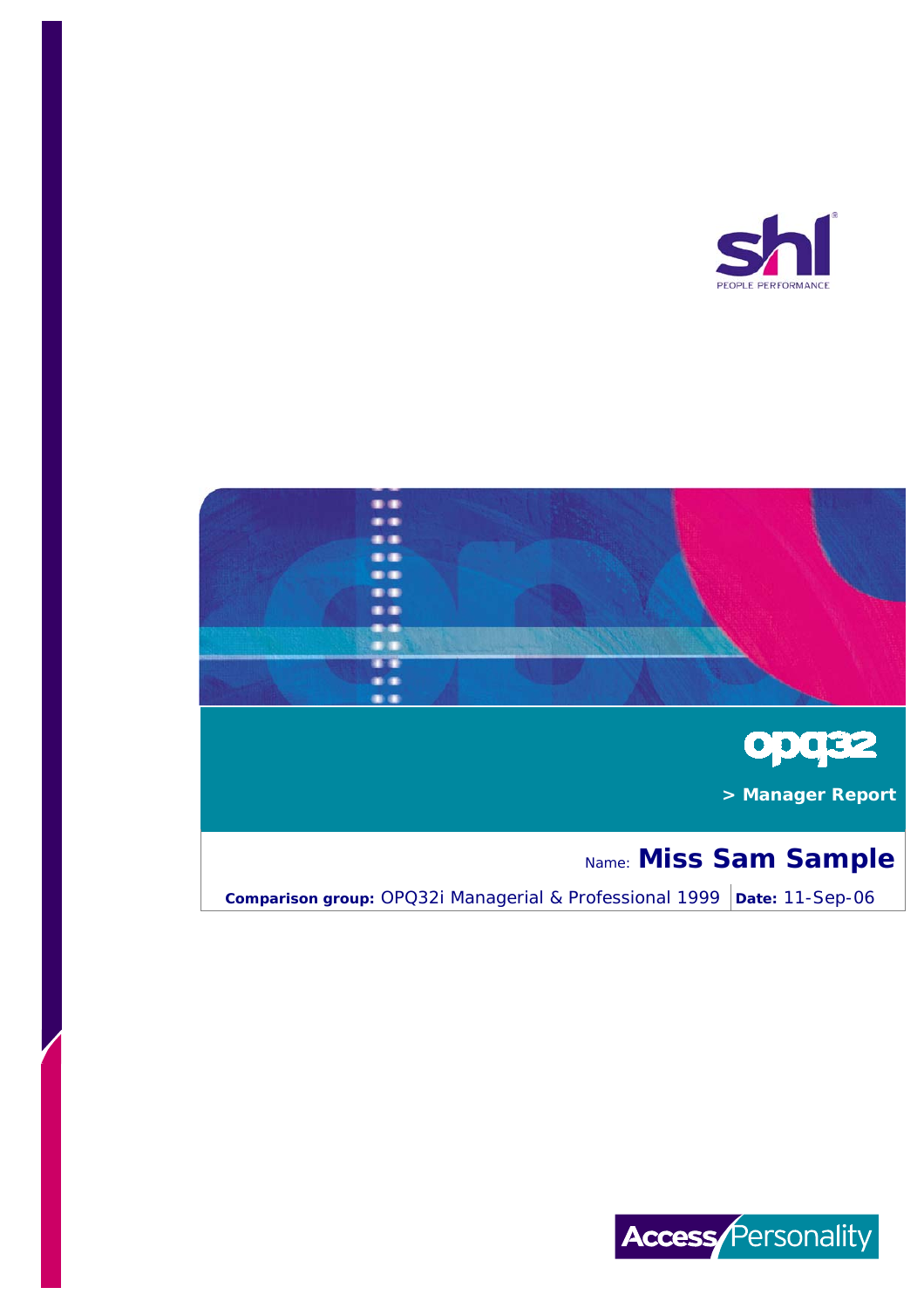





 **> Manager Report**

# Name: **Miss Sam Sample**

**Comparison group:** OPQ32i Managerial & Professional 1999 | Date: 11-Sep-06

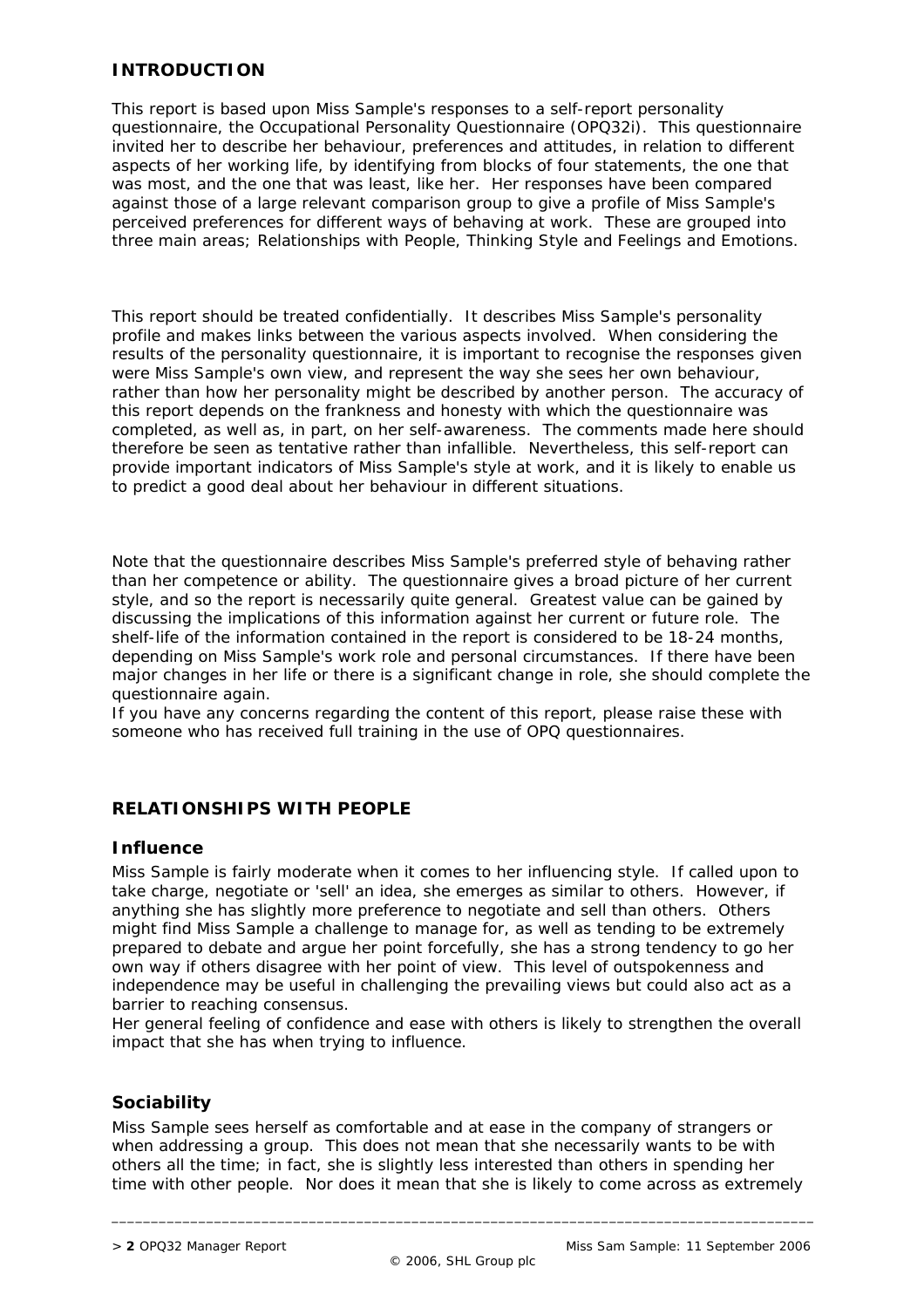#### **INTRODUCTION**

This report is based upon Miss Sample's responses to a self-report personality questionnaire, the Occupational Personality Questionnaire (OPQ32i). This questionnaire invited her to describe her behaviour, preferences and attitudes, in relation to different aspects of her working life, by identifying from blocks of four statements, the one that was most, and the one that was least, like her. Her responses have been compared against those of a large relevant comparison group to give a profile of Miss Sample's perceived preferences for different ways of behaving at work. These are grouped into three main areas; Relationships with People, Thinking Style and Feelings and Emotions.

This report should be treated confidentially. It describes Miss Sample's personality profile and makes links between the various aspects involved. When considering the results of the personality questionnaire, it is important to recognise the responses given were Miss Sample's own view, and represent the way she sees her own behaviour, rather than how her personality might be described by another person. The accuracy of this report depends on the frankness and honesty with which the questionnaire was completed, as well as, in part, on her self-awareness. The comments made here should therefore be seen as tentative rather than infallible. Nevertheless, this self-report can provide important indicators of Miss Sample's style at work, and it is likely to enable us to predict a good deal about her behaviour in different situations.

Note that the questionnaire describes Miss Sample's preferred style of behaving rather than her competence or ability. The questionnaire gives a broad picture of her current style, and so the report is necessarily quite general. Greatest value can be gained by discussing the implications of this information against her current or future role. The shelf-life of the information contained in the report is considered to be 18-24 months, depending on Miss Sample's work role and personal circumstances. If there have been major changes in her life or there is a significant change in role, she should complete the questionnaire again.

If you have any concerns regarding the content of this report, please raise these with someone who has received full training in the use of OPQ questionnaires.

#### **RELATIONSHIPS WITH PEOPLE**

#### **Influence**

Miss Sample is fairly moderate when it comes to her influencing style. If called upon to take charge, negotiate or 'sell' an idea, she emerges as similar to others. However, if anything she has slightly more preference to negotiate and sell than others. Others might find Miss Sample a challenge to manage for, as well as tending to be extremely prepared to debate and argue her point forcefully, she has a strong tendency to go her own way if others disagree with her point of view. This level of outspokenness and independence may be useful in challenging the prevailing views but could also act as a barrier to reaching consensus.

Her general feeling of confidence and ease with others is likely to strengthen the overall impact that she has when trying to influence.

#### **Sociability**

Miss Sample sees herself as comfortable and at ease in the company of strangers or when addressing a group. This does not mean that she necessarily wants to be with others all the time; in fact, she is slightly less interested than others in spending her time with other people. Nor does it mean that she is likely to come across as extremely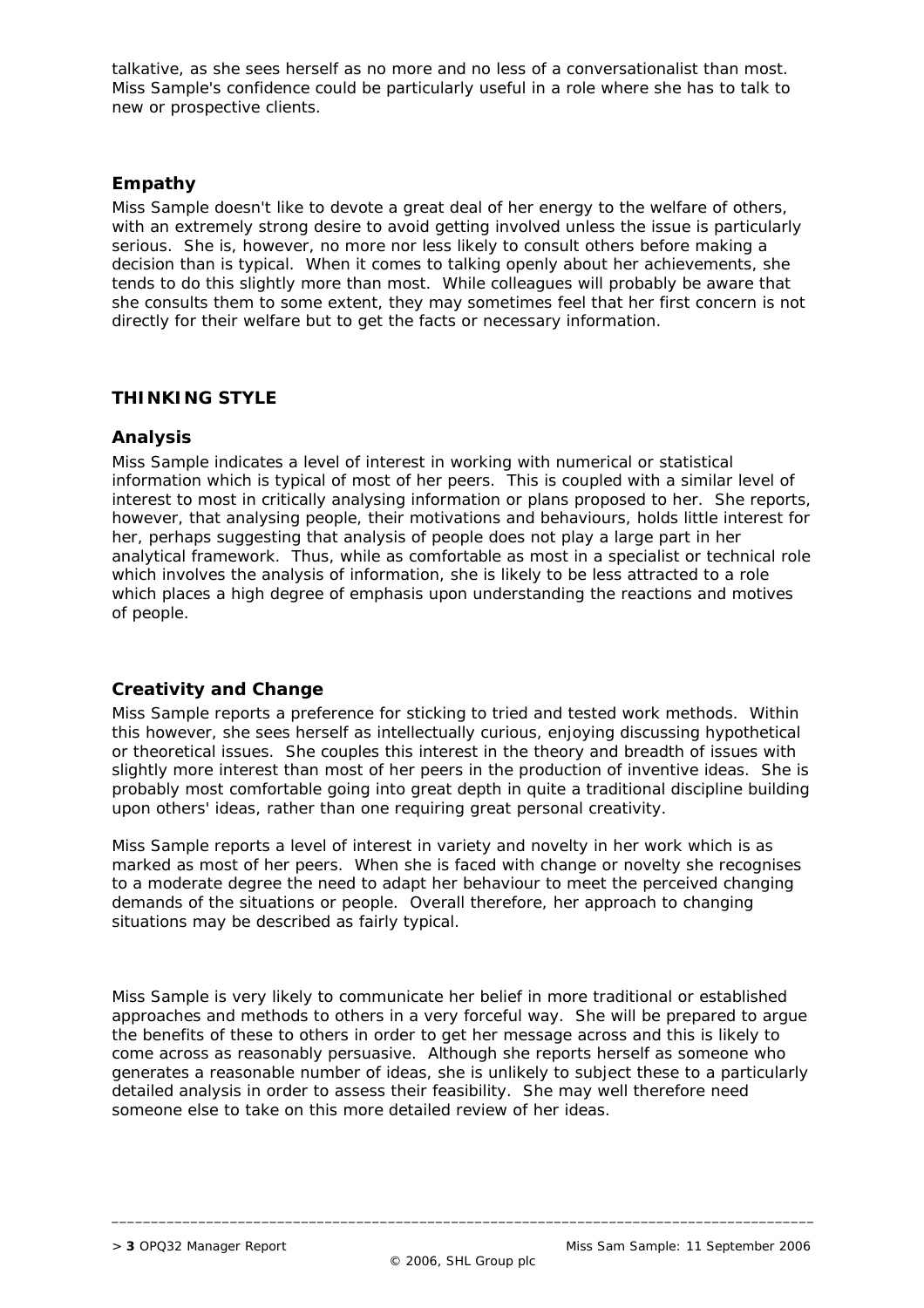talkative, as she sees herself as no more and no less of a conversationalist than most. Miss Sample's confidence could be particularly useful in a role where she has to talk to new or prospective clients.

#### **Empathy**

Miss Sample doesn't like to devote a great deal of her energy to the welfare of others, with an extremely strong desire to avoid getting involved unless the issue is particularly serious. She is, however, no more nor less likely to consult others before making a decision than is typical. When it comes to talking openly about her achievements, she tends to do this slightly more than most. While colleagues will probably be aware that she consults them to some extent, they may sometimes feel that her first concern is not directly for their welfare but to get the facts or necessary information.

### **THINKING STYLE**

#### **Analysis**

Miss Sample indicates a level of interest in working with numerical or statistical information which is typical of most of her peers. This is coupled with a similar level of interest to most in critically analysing information or plans proposed to her. She reports, however, that analysing people, their motivations and behaviours, holds little interest for her, perhaps suggesting that analysis of people does not play a large part in her analytical framework. Thus, while as comfortable as most in a specialist or technical role which involves the analysis of information, she is likely to be less attracted to a role which places a high degree of emphasis upon understanding the reactions and motives of people.

## **Creativity and Change**

Miss Sample reports a preference for sticking to tried and tested work methods. Within this however, she sees herself as intellectually curious, enjoying discussing hypothetical or theoretical issues. She couples this interest in the theory and breadth of issues with slightly more interest than most of her peers in the production of inventive ideas. She is probably most comfortable going into great depth in quite a traditional discipline building upon others' ideas, rather than one requiring great personal creativity.

Miss Sample reports a level of interest in variety and novelty in her work which is as marked as most of her peers. When she is faced with change or novelty she recognises to a moderate degree the need to adapt her behaviour to meet the perceived changing demands of the situations or people. Overall therefore, her approach to changing situations may be described as fairly typical.

Miss Sample is very likely to communicate her belief in more traditional or established approaches and methods to others in a very forceful way. She will be prepared to argue the benefits of these to others in order to get her message across and this is likely to come across as reasonably persuasive. Although she reports herself as someone who generates a reasonable number of ideas, she is unlikely to subject these to a particularly detailed analysis in order to assess their feasibility. She may well therefore need someone else to take on this more detailed review of her ideas.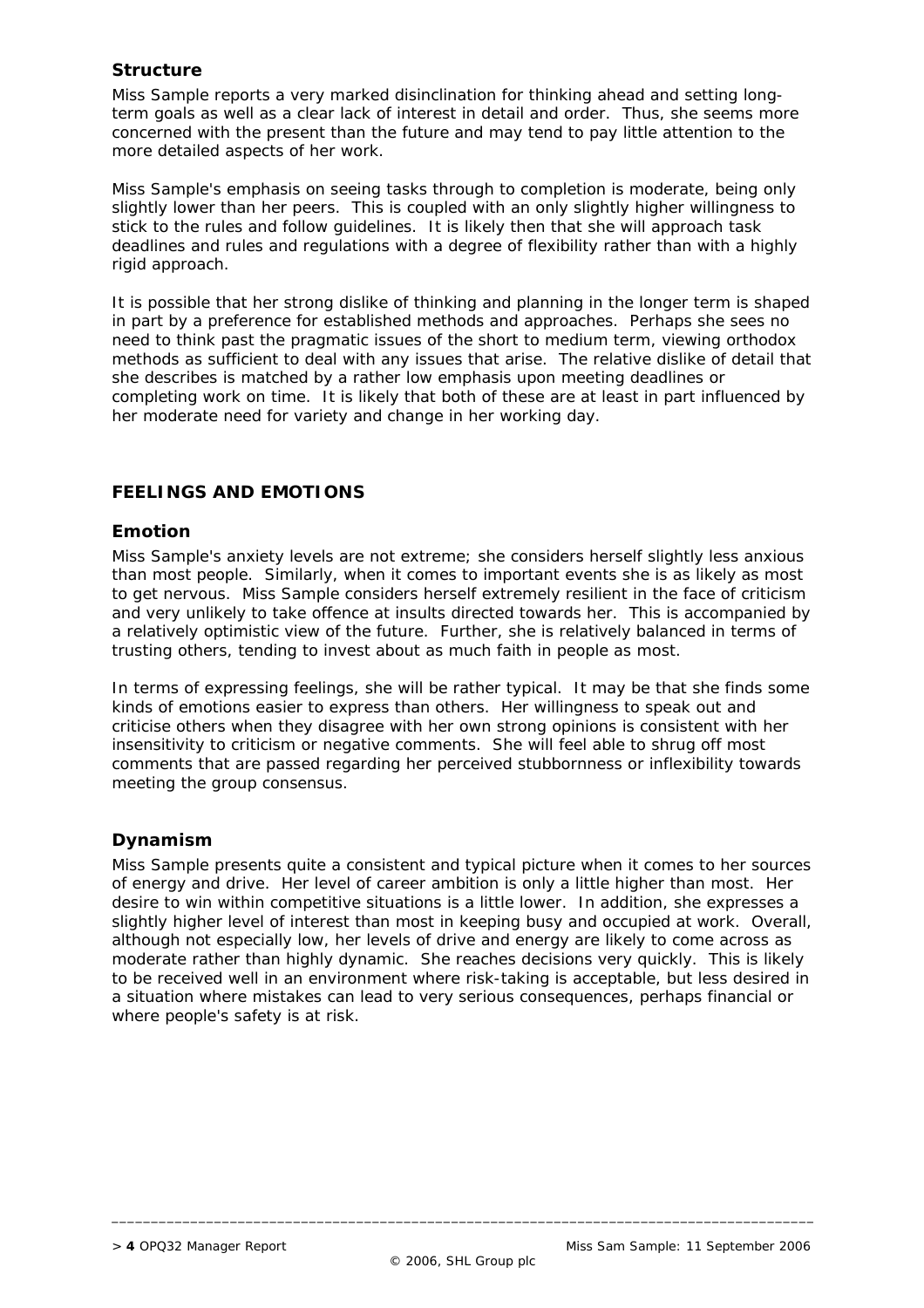## **Structure**

Miss Sample reports a very marked disinclination for thinking ahead and setting longterm goals as well as a clear lack of interest in detail and order. Thus, she seems more concerned with the present than the future and may tend to pay little attention to the more detailed aspects of her work.

Miss Sample's emphasis on seeing tasks through to completion is moderate, being only slightly lower than her peers. This is coupled with an only slightly higher willingness to stick to the rules and follow guidelines. It is likely then that she will approach task deadlines and rules and regulations with a degree of flexibility rather than with a highly rigid approach.

It is possible that her strong dislike of thinking and planning in the longer term is shaped in part by a preference for established methods and approaches. Perhaps she sees no need to think past the pragmatic issues of the short to medium term, viewing orthodox methods as sufficient to deal with any issues that arise. The relative dislike of detail that she describes is matched by a rather low emphasis upon meeting deadlines or completing work on time. It is likely that both of these are at least in part influenced by her moderate need for variety and change in her working day.

### **FEELINGS AND EMOTIONS**

#### **Emotion**

Miss Sample's anxiety levels are not extreme; she considers herself slightly less anxious than most people. Similarly, when it comes to important events she is as likely as most to get nervous. Miss Sample considers herself extremely resilient in the face of criticism and very unlikely to take offence at insults directed towards her. This is accompanied by a relatively optimistic view of the future. Further, she is relatively balanced in terms of trusting others, tending to invest about as much faith in people as most.

In terms of expressing feelings, she will be rather typical. It may be that she finds some kinds of emotions easier to express than others. Her willingness to speak out and criticise others when they disagree with her own strong opinions is consistent with her insensitivity to criticism or negative comments. She will feel able to shrug off most comments that are passed regarding her perceived stubbornness or inflexibility towards meeting the group consensus.

#### **Dynamism**

Miss Sample presents quite a consistent and typical picture when it comes to her sources of energy and drive. Her level of career ambition is only a little higher than most. Her desire to win within competitive situations is a little lower. In addition, she expresses a slightly higher level of interest than most in keeping busy and occupied at work. Overall, although not especially low, her levels of drive and energy are likely to come across as moderate rather than highly dynamic. She reaches decisions very quickly. This is likely to be received well in an environment where risk-taking is acceptable, but less desired in a situation where mistakes can lead to very serious consequences, perhaps financial or where people's safety is at risk.